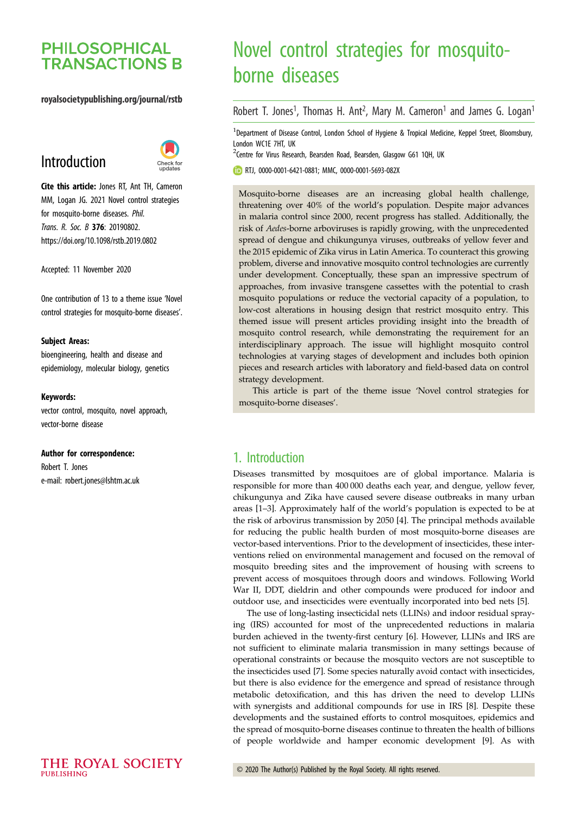## **PHILOSOPHICAL TRANSACTIONS B**

#### royalsocietypublishing.org/journal/rstb

# Introduction



Cite this article: Jones RT, Ant TH, Cameron MM, Logan JG. 2021 Novel control strategies for mosquito-borne diseases. Phil. Trans. R. Soc. B 376: 20190802. https://doi.org/10.1098/rstb.2019.0802

Accepted: 11 November 2020

One contribution of 13 to a theme issue '[Novel](http://dx.doi.org/10.1098/rstb/376/1818) [control strategies for mosquito-borne diseases](http://dx.doi.org/10.1098/rstb/376/1818)'.

#### Subject Areas:

bioengineering, health and disease and epidemiology, molecular biology, genetics

#### Keywords:

vector control, mosquito, novel approach, vector-borne disease

#### Author for correspondence:

Robert T. Jones e-mail: [robert.jones@lshtm.ac.uk](mailto:robert.jones@lshtm.ac.uk)

# Novel control strategies for mosquitoborne diseases

Robert T. Jones<sup>1</sup>, Thomas H. Ant<sup>2</sup>, Mary M. Cameron<sup>1</sup> and James G. Logan<sup>1</sup>

<sup>1</sup>Department of Disease Control, London School of Hygiene & Tropical Medicine, Keppel Street, Bloomsbury, London WC1E 7HT, UK

<sup>2</sup>Centre for Virus Research, Bearsden Road, Bearsden, Glasgow G61 1QH, UK

RTJ, [0000-0001-6421-0881;](http://orcid.org/0000-0001-6421-0881) MMC, [0000-0001-5693-082X](http://orcid.org/0000-0001-5693-082X)

Mosquito-borne diseases are an increasing global health challenge, threatening over 40% of the world's population. Despite major advances in malaria control since 2000, recent progress has stalled. Additionally, the risk of Aedes-borne arboviruses is rapidly growing, with the unprecedented spread of dengue and chikungunya viruses, outbreaks of yellow fever and the 2015 epidemic of Zika virus in Latin America. To counteract this growing problem, diverse and innovative mosquito control technologies are currently under development. Conceptually, these span an impressive spectrum of approaches, from invasive transgene cassettes with the potential to crash mosquito populations or reduce the vectorial capacity of a population, to low-cost alterations in housing design that restrict mosquito entry. This themed issue will present articles providing insight into the breadth of mosquito control research, while demonstrating the requirement for an interdisciplinary approach. The issue will highlight mosquito control technologies at varying stages of development and includes both opinion pieces and research articles with laboratory and field-based data on control strategy development.

This article is part of the theme issue 'Novel control strategies for mosquito-borne diseases'.

## 1. Introduction

Diseases transmitted by mosquitoes are of global importance. Malaria is responsible for more than 400 000 deaths each year, and dengue, yellow fever, chikungunya and Zika have caused severe disease outbreaks in many urban areas [\[1](#page-3-0)–[3\]](#page-3-0). Approximately half of the world's population is expected to be at the risk of arbovirus transmission by 2050 [[4](#page-3-0)]. The principal methods available for reducing the public health burden of most mosquito-borne diseases are vector-based interventions. Prior to the development of insecticides, these interventions relied on environmental management and focused on the removal of mosquito breeding sites and the improvement of housing with screens to prevent access of mosquitoes through doors and windows. Following World War II, DDT, dieldrin and other compounds were produced for indoor and outdoor use, and insecticides were eventually incorporated into bed nets [[5](#page-3-0)].

The use of long-lasting insecticidal nets (LLINs) and indoor residual spraying (IRS) accounted for most of the unprecedented reductions in malaria burden achieved in the twenty-first century [[6](#page-3-0)]. However, LLINs and IRS are not sufficient to eliminate malaria transmission in many settings because of operational constraints or because the mosquito vectors are not susceptible to the insecticides used [[7](#page-3-0)]. Some species naturally avoid contact with insecticides, but there is also evidence for the emergence and spread of resistance through metabolic detoxification, and this has driven the need to develop LLINs with synergists and additional compounds for use in IRS [[8](#page-3-0)]. Despite these developments and the sustained efforts to control mosquitoes, epidemics and the spread of mosquito-borne diseases continue to threaten the health of billions of people worldwide and hamper economic development [\[9\]](#page-3-0). As with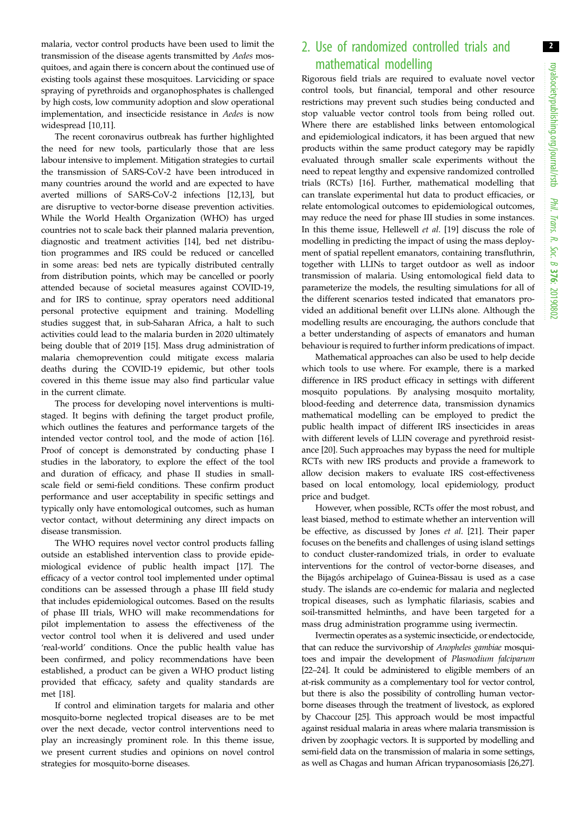2

malaria, vector control products have been used to limit the transmission of the disease agents transmitted by Aedes mosquitoes, and again there is concern about the continued use of existing tools against these mosquitoes. Larviciding or space spraying of pyrethroids and organophosphates is challenged by high costs, low community adoption and slow operational implementation, and insecticide resistance in Aedes is now widespread [[10,11](#page-3-0)].

The recent coronavirus outbreak has further highlighted the need for new tools, particularly those that are less labour intensive to implement. Mitigation strategies to curtail the transmission of SARS-CoV-2 have been introduced in many countries around the world and are expected to have averted millions of SARS-CoV-2 infections [[12,13](#page-3-0)], but are disruptive to vector-borne disease prevention activities. While the World Health Organization (WHO) has urged countries not to scale back their planned malaria prevention, diagnostic and treatment activities [[14\]](#page-4-0), bed net distribution programmes and IRS could be reduced or cancelled in some areas: bed nets are typically distributed centrally from distribution points, which may be cancelled or poorly attended because of societal measures against COVID-19, and for IRS to continue, spray operators need additional personal protective equipment and training. Modelling studies suggest that, in sub-Saharan Africa, a halt to such activities could lead to the malaria burden in 2020 ultimately being double that of 2019 [[15\]](#page-4-0). Mass drug administration of malaria chemoprevention could mitigate excess malaria deaths during the COVID-19 epidemic, but other tools covered in this theme issue may also find particular value in the current climate.

The process for developing novel interventions is multistaged. It begins with defining the target product profile, which outlines the features and performance targets of the intended vector control tool, and the mode of action [\[16](#page-4-0)]. Proof of concept is demonstrated by conducting phase I studies in the laboratory, to explore the effect of the tool and duration of efficacy, and phase II studies in smallscale field or semi-field conditions. These confirm product performance and user acceptability in specific settings and typically only have entomological outcomes, such as human vector contact, without determining any direct impacts on disease transmission.

The WHO requires novel vector control products falling outside an established intervention class to provide epidemiological evidence of public health impact [[17\]](#page-4-0). The efficacy of a vector control tool implemented under optimal conditions can be assessed through a phase III field study that includes epidemiological outcomes. Based on the results of phase III trials, WHO will make recommendations for pilot implementation to assess the effectiveness of the vector control tool when it is delivered and used under 'real-world' conditions. Once the public health value has been confirmed, and policy recommendations have been established, a product can be given a WHO product listing provided that efficacy, safety and quality standards are met [[18\]](#page-4-0).

If control and elimination targets for malaria and other mosquito-borne neglected tropical diseases are to be met over the next decade, vector control interventions need to play an increasingly prominent role. In this theme issue, we present current studies and opinions on novel control strategies for mosquito-borne diseases.

## 2. Use of randomized controlled trials and mathematical modelling

Rigorous field trials are required to evaluate novel vector control tools, but financial, temporal and other resource restrictions may prevent such studies being conducted and stop valuable vector control tools from being rolled out. Where there are established links between entomological and epidemiological indicators, it has been argued that new products within the same product category may be rapidly evaluated through smaller scale experiments without the need to repeat lengthy and expensive randomized controlled trials (RCTs) [\[16](#page-4-0)]. Further, mathematical modelling that can translate experimental hut data to product efficacies, or relate entomological outcomes to epidemiological outcomes, may reduce the need for phase III studies in some instances. In this theme issue, Hellewell et al. [\[19](#page-4-0)] discuss the role of modelling in predicting the impact of using the mass deployment of spatial repellent emanators, containing transfluthrin, together with LLINs to target outdoor as well as indoor transmission of malaria. Using entomological field data to parameterize the models, the resulting simulations for all of the different scenarios tested indicated that emanators provided an additional benefit over LLINs alone. Although the modelling results are encouraging, the authors conclude that a better understanding of aspects of emanators and human behaviour is required to further inform predications of impact.

Mathematical approaches can also be used to help decide which tools to use where. For example, there is a marked difference in IRS product efficacy in settings with different mosquito populations. By analysing mosquito mortality, blood-feeding and deterrence data, transmission dynamics mathematical modelling can be employed to predict the public health impact of different IRS insecticides in areas with different levels of LLIN coverage and pyrethroid resistance [\[20](#page-4-0)]. Such approaches may bypass the need for multiple RCTs with new IRS products and provide a framework to allow decision makers to evaluate IRS cost-effectiveness based on local entomology, local epidemiology, product price and budget.

However, when possible, RCTs offer the most robust, and least biased, method to estimate whether an intervention will be effective, as discussed by Jones et al. [\[21](#page-4-0)]. Their paper focuses on the benefits and challenges of using island settings to conduct cluster-randomized trials, in order to evaluate interventions for the control of vector-borne diseases, and the Bijagós archipelago of Guinea-Bissau is used as a case study. The islands are co-endemic for malaria and neglected tropical diseases, such as lymphatic filariasis, scabies and soil-transmitted helminths, and have been targeted for a mass drug administration programme using ivermectin.

Ivermectin operates as a systemic insecticide, or endectocide, that can reduce the survivorship of Anopheles gambiae mosquitoes and impair the development of Plasmodium falciparum [[22](#page-4-0)–[24](#page-4-0)]. It could be administered to eligible members of an at-risk community as a complementary tool for vector control, but there is also the possibility of controlling human vectorborne diseases through the treatment of livestock, as explored by Chaccour [\[25\]](#page-4-0). This approach would be most impactful against residual malaria in areas where malaria transmission is driven by zoophagic vectors. It is supported by modelling and semi-field data on the transmission of malaria in some settings, as well as Chagas and human African trypanosomiasis [\[26,27](#page-4-0)].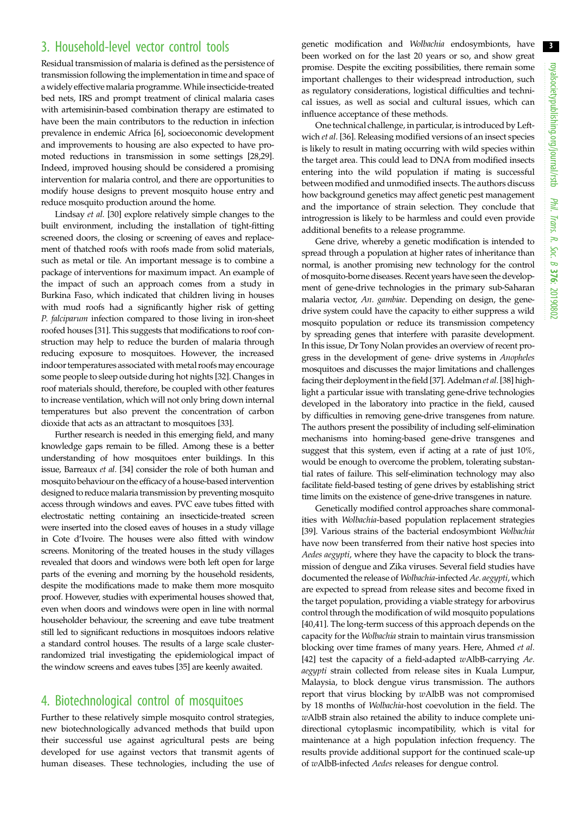3

### 3. Household-level vector control tools

Residual transmission of malaria is defined as the persistence of transmission following the implementation in time and space of awidely effective malaria programme.While insecticide-treated bed nets, IRS and prompt treatment of clinical malaria cases with artemisinin-based combination therapy are estimated to have been the main contributors to the reduction in infection prevalence in endemic Africa [[6](#page-3-0)], socioeconomic development and improvements to housing are also expected to have promoted reductions in transmission in some settings [[28](#page-4-0),[29](#page-4-0)]. Indeed, improved housing should be considered a promising intervention for malaria control, and there are opportunities to modify house designs to prevent mosquito house entry and reduce mosquito production around the home.

Lindsay et al. [\[30\]](#page-4-0) explore relatively simple changes to the built environment, including the installation of tight-fitting screened doors, the closing or screening of eaves and replacement of thatched roofs with roofs made from solid materials, such as metal or tile. An important message is to combine a package of interventions for maximum impact. An example of the impact of such an approach comes from a study in Burkina Faso, which indicated that children living in houses with mud roofs had a significantly higher risk of getting P. falciparum infection compared to those living in iron-sheet roofed houses [[31](#page-4-0)]. This suggests that modifications to roof construction may help to reduce the burden of malaria through reducing exposure to mosquitoes. However, the increased indoor temperatures associated with metal roofs may encourage some people to sleep outside during hot nights [\[32\]](#page-4-0). Changes in roof materials should, therefore, be coupled with other features to increase ventilation, which will not only bring down internal temperatures but also prevent the concentration of carbon dioxide that acts as an attractant to mosquitoes [\[33\]](#page-4-0).

Further research is needed in this emerging field, and many knowledge gaps remain to be filled. Among these is a better understanding of how mosquitoes enter buildings. In this issue, Barreaux et al. [\[34\]](#page-4-0) consider the role of both human and mosquito behaviour on the efficacy of a house-based intervention designed to reduce malaria transmission by preventing mosquito access through windows and eaves. PVC eave tubes fitted with electrostatic netting containing an insecticide-treated screen were inserted into the closed eaves of houses in a study village in Cote d'Ivoire. The houses were also fitted with window screens. Monitoring of the treated houses in the study villages revealed that doors and windows were both left open for large parts of the evening and morning by the household residents, despite the modifications made to make them more mosquito proof. However, studies with experimental houses showed that, even when doors and windows were open in line with normal householder behaviour, the screening and eave tube treatment still led to significant reductions in mosquitoes indoors relative a standard control houses. The results of a large scale clusterrandomized trial investigating the epidemiological impact of the window screens and eaves tubes [[35\]](#page-4-0) are keenly awaited.

# 4. Biotechnological control of mosquitoes

Further to these relatively simple mosquito control strategies, new biotechnologically advanced methods that build upon their successful use against agricultural pests are being developed for use against vectors that transmit agents of human diseases. These technologies, including the use of genetic modification and Wolbachia endosymbionts, have been worked on for the last 20 years or so, and show great promise. Despite the exciting possibilities, there remain some important challenges to their widespread introduction, such as regulatory considerations, logistical difficulties and technical issues, as well as social and cultural issues, which can influence acceptance of these methods.

One technical challenge, in particular, is introduced by Leftwich et al. [[36\]](#page-4-0). Releasing modified versions of an insect species is likely to result in mating occurring with wild species within the target area. This could lead to DNA from modified insects entering into the wild population if mating is successful between modified and unmodified insects. The authors discuss how background genetics may affect genetic pest management and the importance of strain selection. They conclude that introgression is likely to be harmless and could even provide additional benefits to a release programme.

Gene drive, whereby a genetic modification is intended to spread through a population at higher rates of inheritance than normal, is another promising new technology for the control of mosquito-borne diseases. Recent years have seen the development of gene-drive technologies in the primary sub-Saharan malaria vector, An. gambiae. Depending on design, the genedrive system could have the capacity to either suppress a wild mosquito population or reduce its transmission competency by spreading genes that interfere with parasite development. In this issue, Dr Tony Nolan provides an overview of recent progress in the development of gene- drive systems in Anopheles mosquitoes and discusses the major limitations and challenges facing their deployment in the field [\[37\]](#page-4-0). Adelman et al. [[38](#page-4-0)] highlight a particular issue with translating gene-drive technologies developed in the laboratory into practice in the field, caused by difficulties in removing gene-drive transgenes from nature. The authors present the possibility of including self-elimination mechanisms into homing-based gene-drive transgenes and suggest that this system, even if acting at a rate of just 10%, would be enough to overcome the problem, tolerating substantial rates of failure. This self-elimination technology may also facilitate field-based testing of gene drives by establishing strict time limits on the existence of gene-drive transgenes in nature.

Genetically modified control approaches share commonalities with Wolbachia-based population replacement strategies [[39\]](#page-4-0). Various strains of the bacterial endosymbiont Wolbachia have now been transferred from their native host species into Aedes aegypti, where they have the capacity to block the transmission of dengue and Zika viruses. Several field studies have documented the release of Wolbachia-infected Ae. aegypti, which are expected to spread from release sites and become fixed in the target population, providing a viable strategy for arbovirus control through the modification of wild mosquito populations [[40,41\]](#page-4-0). The long-term success of this approach depends on the capacity for the Wolbachia strain to maintain virus transmission blocking over time frames of many years. Here, Ahmed et al. [[42\]](#page-4-0) test the capacity of a field-adapted wAlbB-carrying Ae. aegypti strain collected from release sites in Kuala Lumpur, Malaysia, to block dengue virus transmission. The authors report that virus blocking by wAlbB was not compromised by 18 months of Wolbachia-host coevolution in the field. The wAlbB strain also retained the ability to induce complete unidirectional cytoplasmic incompatibility, which is vital for maintenance at a high population infection frequency. The results provide additional support for the continued scale-up of wAlbB-infected Aedes releases for dengue control.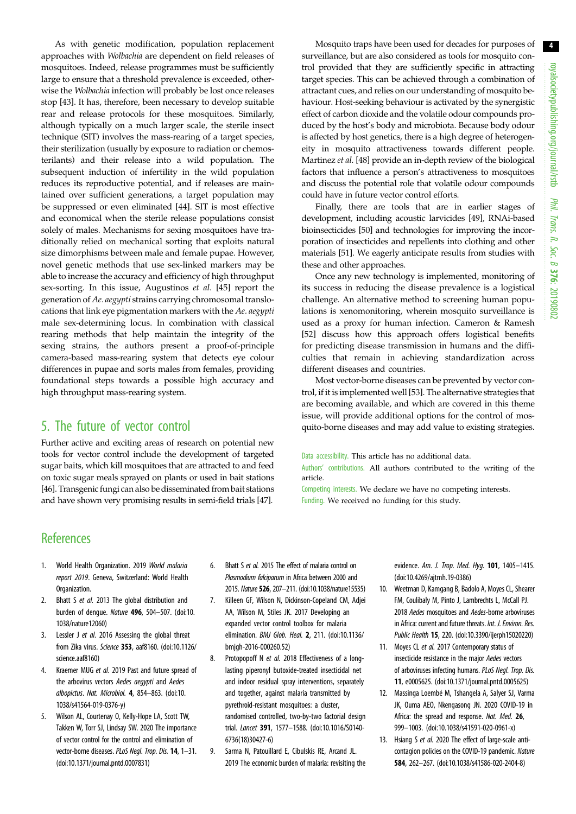<span id="page-3-0"></span>As with genetic modification, population replacement approaches with Wolbachia are dependent on field releases of mosquitoes. Indeed, release programmes must be sufficiently large to ensure that a threshold prevalence is exceeded, otherwise the Wolbachia infection will probably be lost once releases stop [[43\]](#page-4-0). It has, therefore, been necessary to develop suitable rear and release protocols for these mosquitoes. Similarly, although typically on a much larger scale, the sterile insect technique (SIT) involves the mass-rearing of a target species, their sterilization (usually by exposure to radiation or chemosterilants) and their release into a wild population. The subsequent induction of infertility in the wild population reduces its reproductive potential, and if releases are maintained over sufficient generations, a target population may be suppressed or even eliminated [\[44](#page-4-0)]. SIT is most effective and economical when the sterile release populations consist solely of males. Mechanisms for sexing mosquitoes have traditionally relied on mechanical sorting that exploits natural size dimorphisms between male and female pupae. However, novel genetic methods that use sex-linked markers may be able to increase the accuracy and efficiency of high throughput sex-sorting. In this issue, Augustinos et al. [\[45](#page-4-0)] report the generation of Ae. aegypti strains carrying chromosomal translocations that link eye pigmentation markers with the Ae. aegypti male sex-determining locus. In combination with classical rearing methods that help maintain the integrity of the sexing strains, the authors present a proof-of-principle camera-based mass-rearing system that detects eye colour differences in pupae and sorts males from females, providing foundational steps towards a possible high accuracy and high throughput mass-rearing system.

#### 5. The future of vector control

Further active and exciting areas of research on potential new tools for vector control include the development of targeted sugar baits, which kill mosquitoes that are attracted to and feed on toxic sugar meals sprayed on plants or used in bait stations [\[46](#page-4-0)]. Transgenic fungi can also be disseminated from bait stations and have shown very promising results in semi-field trials [\[47](#page-4-0)].

Mosquito traps have been used for decades for purposes of surveillance, but are also considered as tools for mosquito control provided that they are sufficiently specific in attracting target species. This can be achieved through a combination of attractant cues, and relies on our understanding of mosquito behaviour. Host-seeking behaviour is activated by the synergistic effect of carbon dioxide and the volatile odour compounds produced by the host's body and microbiota. Because body odour is affected by host genetics, there is a high degree of heterogeneity in mosquito attractiveness towards different people. Martinez et al. [[48](#page-4-0)] provide an in-depth review of the biological factors that influence a person's attractiveness to mosquitoes and discuss the potential role that volatile odour compounds could have in future vector control efforts.

Finally, there are tools that are in earlier stages of development, including acoustic larvicides [\[49](#page-4-0)], RNAi-based bioinsecticides [[50](#page-4-0)] and technologies for improving the incorporation of insecticides and repellents into clothing and other materials [[51](#page-4-0)]. We eagerly anticipate results from studies with these and other approaches.

Once any new technology is implemented, monitoring of its success in reducing the disease prevalence is a logistical challenge. An alternative method to screening human populations is xenomonitoring, wherein mosquito surveillance is used as a proxy for human infection. Cameron & Ramesh [[52\]](#page-4-0) discuss how this approach offers logistical benefits for predicting disease transmission in humans and the difficulties that remain in achieving standardization across different diseases and countries.

Most vector-borne diseases can be prevented by vector control, if it is implemented well [\[53](#page-4-0)]. The alternative strategies that are becoming available, and which are covered in this theme issue, will provide additional options for the control of mosquito-borne diseases and may add value to existing strategies.

Data accessibility. This article has no additional data.

Authors' contributions. All authors contributed to the writing of the article.

Competing interests. We declare we have no competing interests. Funding. We received no funding for this study.

## **References**

- 1. World Health Organization. 2019 World malaria report 2019. Geneva, Switzerland: World Health Organization.
- 2. Bhatt S et al. 2013 The global distribution and burden of dengue. Nature 496, 504–507. ([doi:10.](http://dx.doi.org/10.1038/nature12060) [1038/nature12060](http://dx.doi.org/10.1038/nature12060))
- 3. Lessler J et al. 2016 Assessing the global threat from Zika virus. Science 353, aaf8160. ([doi:10.1126/](http://dx.doi.org/10.1126/science.aaf8160) [science.aaf8160\)](http://dx.doi.org/10.1126/science.aaf8160)
- 4. Kraemer MUG et al. 2019 Past and future spread of the arbovirus vectors Aedes aegypti and Aedes albopictus. Nat. Microbiol. 4, 854–863. [\(doi:10.](http://dx.doi.org/10.1038/s41564-019-0376-y) [1038/s41564-019-0376-y](http://dx.doi.org/10.1038/s41564-019-0376-y))
- 5. Wilson AL, Courtenay O, Kelly-Hope LA, Scott TW, Takken W, Torr SJ, Lindsay SW. 2020 The importance of vector control for the control and elimination of vector-borne diseases. PLoS Negl. Trop. Dis. 14, 1–31. [\(doi:10.1371/journal.pntd.0007831\)](http://dx.doi.org/10.1371/journal.pntd.0007831)
- 6. Bhatt S et al. 2015 The effect of malaria control on Plasmodium falciparum in Africa between 2000 and 2015. Nature 526, 207–211. [\(doi:10.1038/nature15535\)](http://dx.doi.org/10.1038/nature15535)
- 7. Killeen GF, Wilson N, Dickinson-Copeland CM, Adjei AA, Wilson M, Stiles JK. 2017 Developing an expanded vector control toolbox for malaria elimination. BMJ Glob. Heal. 2, 211. ([doi:10.1136/](http://dx.doi.org/10.1136/bmjgh-2016-000260.52) [bmjgh-2016-000260.52\)](http://dx.doi.org/10.1136/bmjgh-2016-000260.52)
- 8. Protopopoff N et al. 2018 Effectiveness of a longlasting piperonyl butoxide-treated insecticidal net and indoor residual spray interventions, separately and together, against malaria transmitted by pyrethroid-resistant mosquitoes: a cluster, randomised controlled, two-by-two factorial design trial. Lancet 391, 1577–1588. [\(doi:10.1016/S0140-](http://dx.doi.org/10.1016/S0140-6736(18)30427-6) [6736\(18\)30427-6](http://dx.doi.org/10.1016/S0140-6736(18)30427-6))
- 9. Sarma N, Patouillard E, Cibulskis RE, Arcand JL. 2019 The economic burden of malaria: revisiting the

evidence. Am. J. Trop. Med. Hyg. 101, 1405–1415. ([doi:10.4269/ajtmh.19-0386](http://dx.doi.org/10.4269/ajtmh.19-0386))

- 10. Weetman D, Kamgang B, Badolo A, Moyes CL, Shearer FM, Coulibaly M, Pinto J, Lambrechts L, McCall PJ. 2018 Aedes mosquitoes and Aedes-borne arboviruses in Africa: current and future threats. Int. J. Environ. Res. Public Health 15, 220. [\(doi:10.3390/ijerph15020220](http://dx.doi.org/10.3390/ijerph15020220))
- 11. Moyes CL et al. 2017 Contemporary status of insecticide resistance in the major Aedes vectors of arboviruses infecting humans. PLoS Negl. Trop. Dis. 11, e0005625. ([doi:10.1371/journal.pntd.0005625](http://dx.doi.org/10.1371/journal.pntd.0005625))
- 12. Massinga Loembé M, Tshangela A, Salyer SJ, Varma JK, Ouma AEO, Nkengasong JN. 2020 COVID-19 in Africa: the spread and response. Nat. Med. 26. 999–1003. ([doi:10.1038/s41591-020-0961-x\)](http://dx.doi.org/10.1038/s41591-020-0961-x)
- 13. Hsiang S et al. 2020 The effect of large-scale anticontagion policies on the COVID-19 pandemic. Nature 584, 262–267. ([doi:10.1038/s41586-020-2404-8\)](http://dx.doi.org/10.1038/s41586-020-2404-8)